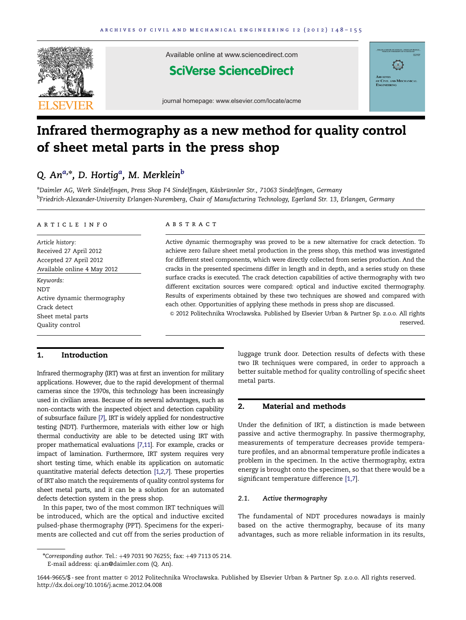<span id="page-0-0"></span>

Available online at www.sciencedirect.com

### **SciVerse ScienceDirect**



journal homepage: www.elsevier.com/locate/acme

# Infrared thermography as a new method for quality control of sheet metal parts in the press shop

### Q. An $^{a,\ast}$ , D. Hortig $^a$ , M. Merklein $^b$

<sup>a</sup>Daimler AG, Werk Sindelfingen, Press Shop F4 Sindelfingen, Käsbrünnler Str., 71063 Sindelfingen, Germany <sup>b</sup>Friedrich-Alexander-University Erlangen-Nuremberg, Chair of Manufacturing Technology, Egerland Str. 13, Erlangen, Germany

#### article info

Article history: Received 27 April 2012 Accepted 27 April 2012 Available online 4 May 2012

Keywords: NDT Active dynamic thermography Crack detect Sheet metal parts Quality control

#### ABSTRACT

Active dynamic thermography was proved to be a new alternative for crack detection. To achieve zero failure sheet metal production in the press shop, this method was investigated for different steel components, which were directly collected from series production. And the cracks in the presented specimens differ in length and in depth, and a series study on these surface cracks is executed. The crack detection capabilities of active thermography with two different excitation sources were compared: optical and inductive excited thermography. Results of experiments obtained by these two techniques are showed and compared with each other. Opportunities of applying these methods in press shop are discussed.

& 2012 Politechnika Wrocławska. Published by Elsevier Urban & Partner Sp. z.o.o. All rights reserved.

#### 1. Introduction

Infrared thermography (IRT) was at first an invention for military applications. However, due to the rapid development of thermal cameras since the 1970s, this technology has been increasingly used in civilian areas. Because of its several advantages, such as non-contacts with the inspected object and detection capability of subsurface failure [\[7\]](#page--1-0), IRT is widely applied for nondestructive testing (NDT). Furthermore, materials with either low or high thermal conductivity are able to be detected using IRT with proper mathematical evaluations [\[7,11](#page--1-0)]. For example, cracks or impact of lamination. Furthermore, IRT system requires very short testing time, which enable its application on automatic quantitative material defects detection [\[1,2,7\]](#page--1-0). These properties of IRT also match the requirements of quality control systems for sheet metal parts, and it can be a solution for an automated defects detection system in the press shop.

In this paper, two of the most common IRT techniques will be introduced, which are the optical and inductive excited pulsed-phase thermography (PPT). Specimens for the experiments are collected and cut off from the series production of luggage trunk door. Detection results of defects with these two IR techniques were compared, in order to approach a better suitable method for quality controlling of specific sheet metal parts.

#### 2. Material and methods

Under the definition of IRT, a distinction is made between passive and active thermography. In passive thermography, measurements of temperature decreases provide temperature profiles, and an abnormal temperature profile indicates a problem in the specimen. In the active thermography, extra energy is brought onto the specimen, so that there would be a significant temperature difference [\[1,7\]](#page--1-0).

#### 2.1. Active thermography

The fundamental of NDT procedures nowadays is mainly based on the active thermography, because of its many advantages, such as more reliable information in its results,

<sup>\*</sup>Corresponding author. Tel.: +49 7031 90 76255; fax: +49 7113 05 214. E-mail address: [qi.an@daimler.com \(Q. An\).](mailto:qi.an@daimler.com)

<sup>1644-9665/\$ -</sup> see front matter & 2012 Politechnika Wrocławska. Published by Elsevier Urban & Partner Sp. z.o.o. All rights reserved. [http://dx.doi.org/10.1016/j.acme.2012.04.008](dx.doi.org/10.1016/j.acme.2012.04.008)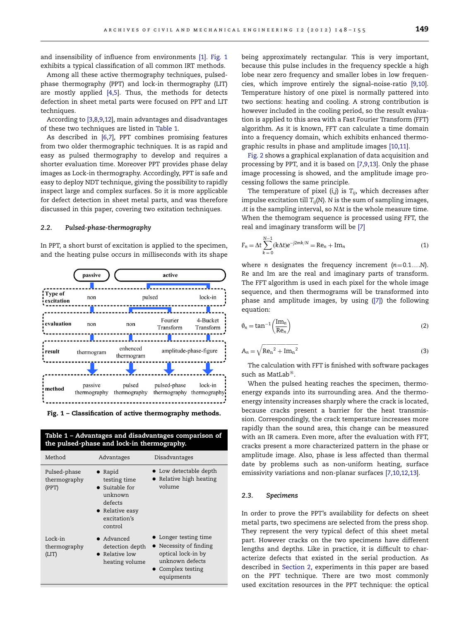and insensibility of influence from environments [\[1\].](#page--1-0) Fig. 1 exhibits a typical classification of all common IRT methods.

Among all these active thermography techniques, pulsedphase thermography (PPT) and lock-in thermography (LIT) are mostly applied [\[4,5](#page--1-0)]. Thus, the methods for detects defection in sheet metal parts were focused on PPT and LIT techniques.

According to [\[3,8,9](#page--1-0),[12](#page--1-0)], main advantages and disadvantages of these two techniques are listed in Table 1.

As described in [\[6,7](#page--1-0)], PPT combines promising features from two older thermographic techniques. It is as rapid and easy as pulsed thermography to develop and requires a shorter evaluation time. Moreover PPT provides phase delay images as Lock-in thermography. Accordingly, PPT is safe and easy to deploy NDT technique, giving the possibility to rapidly inspect large and complex surfaces. So it is more applicable for defect detection in sheet metal parts, and was therefore discussed in this paper, covering two exitation techniques.

#### 2.2. Pulsed-phase-thermography

In PPT, a short burst of excitation is applied to the specimen, and the heating pulse occurs in milliseconds with its shape





| Method                                | Advantages                                                                                                            | Disadvantages                                                                                                               |
|---------------------------------------|-----------------------------------------------------------------------------------------------------------------------|-----------------------------------------------------------------------------------------------------------------------------|
| Pulsed-phase<br>thermography<br>(PPT) | $\bullet$ Rapid<br>testing time<br>• Suitable for<br>unknown<br>defects<br>• Relative easy<br>excitation's<br>control | • Low detectable depth<br>• Relative high heating<br>volume                                                                 |
| Lock-in<br>thermography<br>(LIT)      | $\bullet$ Advanced<br>detection depth<br>$\bullet$ Relative low<br>heating volume                                     | • Longer testing time<br>• Necessity of finding<br>optical lock-in by<br>unknown defects<br>• Complex testing<br>equipments |

being approximately rectangular. This is very important, because this pulse includes in the frequency speckle a high lobe near zero frequency and smaller lobes in low frequencies, which improve entirely the signal–noise-ratio [\[9](#page--1-0),[10](#page--1-0)]. Temperature history of one pixel is normally pattered into two sections: heating and cooling. A strong contribution is however included in the cooling period, so the result evaluation is applied to this area with a Fast Fourier Transform (FFT) algorithm. As it is known, FFT can calculate a time domain into a frequency domain, which exhibits enhanced thermographic results in phase and amplitude images [\[10,11\]](#page--1-0).

[Fig. 2](#page--1-0) shows a graphical explanation of data acquisition and processing by PPT, and it is based on [\[7](#page--1-0),[9,13](#page--1-0)]. Only the phase image processing is showed, and the amplitude image processing follows the same principle.

The temperature of pixel  $(i,j)$  is  $T_{ij}$ , which decreases after impulse excitation till  $T_{ii}(N)$ . N is the sum of sampling images,  $\Delta t$  is the sampling interval, so N $\Delta t$  is the whole measure time. When the themogram sequence is processed using FFT, the real and imaginary transform will be [\[7\]](#page--1-0)

$$
F_n = \Delta t \sum_{k=0}^{N-1} (k \Delta t) e^{-j2mk/N} = \text{Re}_n + \text{Im}_n
$$
 (1)

where *n* designates the frequency increment  $(n=0.1...N)$ . Re and Im are the real and imaginary parts of transform. The FFT algorithm is used in each pixel for the whole image sequence, and then thermograms will be transformed into phase and amplitude images, by using ([\[7\]](#page--1-0)) the following equation:

$$
\phi_n = \tan^{-1}\left(\frac{\text{Im}_n}{\text{Re}_n}\right) \tag{2}
$$

$$
A_n = \sqrt{\text{Re}_n^2 + \text{Im}_n^2}
$$
 (3)

The calculation with FFT is finished with software packages such as MatLab $^{\circledR}$ .

When the pulsed heating reaches the specimen, thermoenergy expands into its surrounding area. And the thermoenergy intensity increases sharply where the crack is located, because cracks present a barrier for the heat transmission. Correspondingly, the crack temperature increases more rapidly than the sound area, this change can be measured with an IR camera. Even more, after the evaluation with FFT, cracks present a more characterized pattern in the phase or amplitude image. Also, phase is less affected than thermal date by problems such as non-uniform heating, surface emissivity variations and non-planar surfaces [\[7,10,12,13\]](#page--1-0).

#### 2.3. Specimens

In order to prove the PPT's availability for defects on sheet metal parts, two specimens are selected from the press shop. They represent the very typical defect of this sheet metal part. However cracks on the two specimens have different lengths and depths. Like in practice, it is difficult to characterize defects that existed in the serial production. As described in [Section 2](#page-0-0), experiments in this paper are based on the PPT technique. There are two most commonly used excitation resources in the PPT technique: the optical